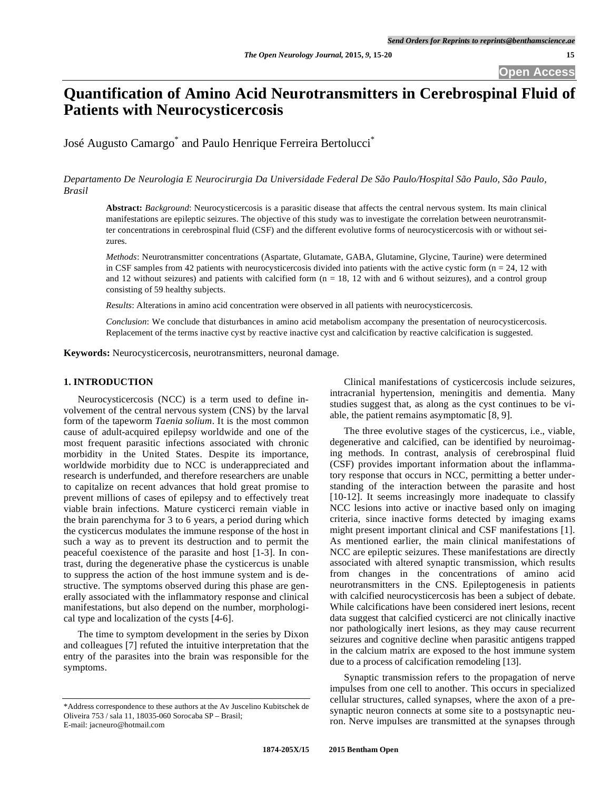# **Quantification of Amino Acid Neurotransmitters in Cerebrospinal Fluid of Patients with Neurocysticercosis**

José Augusto Camargo<sup>\*</sup> and Paulo Henrique Ferreira Bertolucci<sup>\*</sup>

*Departamento De Neurologia E Neurocirurgia Da Universidade Federal De São Paulo/Hospital São Paulo, São Paulo, Brasil* 

**Abstract:** *Background*: Neurocysticercosis is a parasitic disease that affects the central nervous system. Its main clinical manifestations are epileptic seizures. The objective of this study was to investigate the correlation between neurotransmitter concentrations in cerebrospinal fluid (CSF) and the different evolutive forms of neurocysticercosis with or without seizures.

*Methods*: Neurotransmitter concentrations (Aspartate, Glutamate, GABA, Glutamine, Glycine, Taurine) were determined in CSF samples from 42 patients with neurocysticercosis divided into patients with the active cystic form  $(n = 24, 12 \text{ with})$ and 12 without seizures) and patients with calcified form  $(n = 18, 12 \text{ with and } 6 \text{ without seizures})$ , and a control group consisting of 59 healthy subjects.

*Results*: Alterations in amino acid concentration were observed in all patients with neurocysticercosis.

*Conclusion*: We conclude that disturbances in amino acid metabolism accompany the presentation of neurocysticercosis. Replacement of the terms inactive cyst by reactive inactive cyst and calcification by reactive calcification is suggested.

**Keywords:** Neurocysticercosis, neurotransmitters, neuronal damage.

# **1. INTRODUCTION**

 Neurocysticercosis (NCC) is a term used to define involvement of the central nervous system (CNS) by the larval form of the tapeworm *Taenia solium*. It is the most common cause of adult-acquired epilepsy worldwide and one of the most frequent parasitic infections associated with chronic morbidity in the United States. Despite its importance, worldwide morbidity due to NCC is underappreciated and research is underfunded, and therefore researchers are unable to capitalize on recent advances that hold great promise to prevent millions of cases of epilepsy and to effectively treat viable brain infections. Mature cysticerci remain viable in the brain parenchyma for 3 to 6 years, a period during which the cysticercus modulates the immune response of the host in such a way as to prevent its destruction and to permit the peaceful coexistence of the parasite and host [1-3]. In contrast, during the degenerative phase the cysticercus is unable to suppress the action of the host immune system and is destructive. The symptoms observed during this phase are generally associated with the inflammatory response and clinical manifestations, but also depend on the number, morphological type and localization of the cysts [4-6].

 The time to symptom development in the series by Dixon and colleagues [7] refuted the intuitive interpretation that the entry of the parasites into the brain was responsible for the symptoms.

 Clinical manifestations of cysticercosis include seizures, intracranial hypertension, meningitis and dementia. Many studies suggest that, as along as the cyst continues to be viable, the patient remains asymptomatic [8, 9].

 The three evolutive stages of the cysticercus, i.e., viable, degenerative and calcified, can be identified by neuroimaging methods. In contrast, analysis of cerebrospinal fluid (CSF) provides important information about the inflammatory response that occurs in NCC, permitting a better understanding of the interaction between the parasite and host [10-12]. It seems increasingly more inadequate to classify NCC lesions into active or inactive based only on imaging criteria, since inactive forms detected by imaging exams might present important clinical and CSF manifestations [1]. As mentioned earlier, the main clinical manifestations of NCC are epileptic seizures. These manifestations are directly associated with altered synaptic transmission, which results from changes in the concentrations of amino acid neurotransmitters in the CNS. Epileptogenesis in patients with calcified neurocysticercosis has been a subject of debate. While calcifications have been considered inert lesions, recent data suggest that calcified cysticerci are not clinically inactive nor pathologically inert lesions, as they may cause recurrent seizures and cognitive decline when parasitic antigens trapped in the calcium matrix are exposed to the host immune system due to a process of calcification remodeling [13].

 Synaptic transmission refers to the propagation of nerve impulses from one cell to another. This occurs in specialized cellular structures, called synapses, where the axon of a presynaptic neuron connects at some site to a postsynaptic neuron. Nerve impulses are transmitted at the synapses through

<sup>\*</sup>Address correspondence to these authors at the Av Juscelino Kubitschek de Oliveira 753 / sala 11, 18035-060 Sorocaba SP – Brasil; E-mail: jacneuro@hotmail.com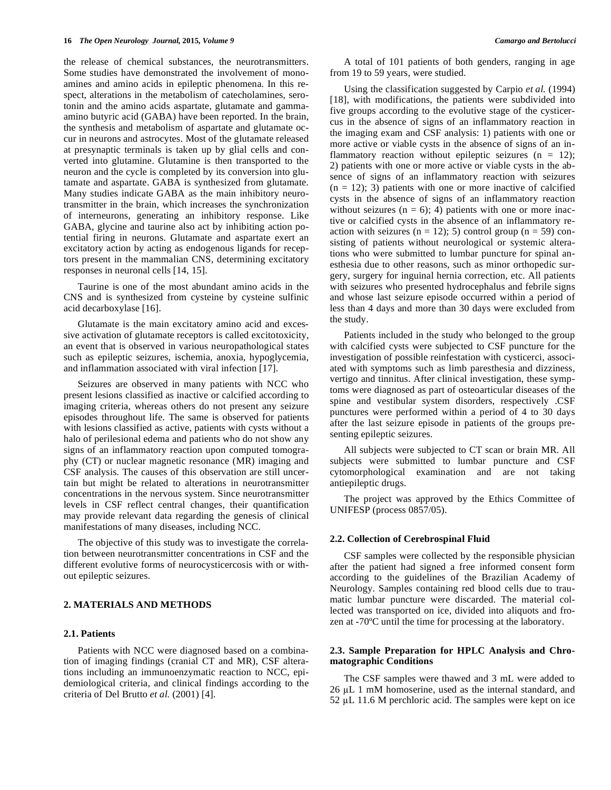the release of chemical substances, the neurotransmitters. Some studies have demonstrated the involvement of monoamines and amino acids in epileptic phenomena. In this respect, alterations in the metabolism of catecholamines, serotonin and the amino acids aspartate, glutamate and gammaamino butyric acid (GABA) have been reported. In the brain, the synthesis and metabolism of aspartate and glutamate occur in neurons and astrocytes. Most of the glutamate released at presynaptic terminals is taken up by glial cells and converted into glutamine. Glutamine is then transported to the neuron and the cycle is completed by its conversion into glutamate and aspartate. GABA is synthesized from glutamate. Many studies indicate GABA as the main inhibitory neurotransmitter in the brain, which increases the synchronization of interneurons, generating an inhibitory response. Like GABA, glycine and taurine also act by inhibiting action potential firing in neurons. Glutamate and aspartate exert an excitatory action by acting as endogenous ligands for receptors present in the mammalian CNS, determining excitatory responses in neuronal cells [14, 15].

 Taurine is one of the most abundant amino acids in the CNS and is synthesized from cysteine by cysteine sulfinic acid decarboxylase [16].

 Glutamate is the main excitatory amino acid and excessive activation of glutamate receptors is called excitotoxicity, an event that is observed in various neuropathological states such as epileptic seizures, ischemia, anoxia, hypoglycemia, and inflammation associated with viral infection [17].

 Seizures are observed in many patients with NCC who present lesions classified as inactive or calcified according to imaging criteria, whereas others do not present any seizure episodes throughout life. The same is observed for patients with lesions classified as active, patients with cysts without a halo of perilesional edema and patients who do not show any signs of an inflammatory reaction upon computed tomography (CT) or nuclear magnetic resonance (MR) imaging and CSF analysis. The causes of this observation are still uncertain but might be related to alterations in neurotransmitter concentrations in the nervous system. Since neurotransmitter levels in CSF reflect central changes, their quantification may provide relevant data regarding the genesis of clinical manifestations of many diseases, including NCC.

 The objective of this study was to investigate the correlation between neurotransmitter concentrations in CSF and the different evolutive forms of neurocysticercosis with or without epileptic seizures.

# **2. MATERIALS AND METHODS**

# **2.1. Patients**

 Patients with NCC were diagnosed based on a combination of imaging findings (cranial CT and MR), CSF alterations including an immunoenzymatic reaction to NCC, epidemiological criteria, and clinical findings according to the criteria of Del Brutto *et al.* (2001) [4].

 A total of 101 patients of both genders, ranging in age from 19 to 59 years, were studied.

 Using the classification suggested by Carpio *et al.* (1994) [18], with modifications, the patients were subdivided into five groups according to the evolutive stage of the cysticercus in the absence of signs of an inflammatory reaction in the imaging exam and CSF analysis: 1) patients with one or more active or viable cysts in the absence of signs of an inflammatory reaction without epileptic seizures  $(n = 12)$ ; 2) patients with one or more active or viable cysts in the absence of signs of an inflammatory reaction with seizures  $(n = 12)$ ; 3) patients with one or more inactive of calcified cysts in the absence of signs of an inflammatory reaction without seizures  $(n = 6)$ ; 4) patients with one or more inactive or calcified cysts in the absence of an inflammatory reaction with seizures ( $n = 12$ ); 5) control group ( $n = 59$ ) consisting of patients without neurological or systemic alterations who were submitted to lumbar puncture for spinal anesthesia due to other reasons, such as minor orthopedic surgery, surgery for inguinal hernia correction, etc. All patients with seizures who presented hydrocephalus and febrile signs and whose last seizure episode occurred within a period of less than 4 days and more than 30 days were excluded from the study.

 Patients included in the study who belonged to the group with calcified cysts were subjected to CSF puncture for the investigation of possible reinfestation with cysticerci, associated with symptoms such as limb paresthesia and dizziness, vertigo and tinnitus. After clinical investigation, these symptoms were diagnosed as part of osteoarticular diseases of the spine and vestibular system disorders, respectively .CSF punctures were performed within a period of 4 to 30 days after the last seizure episode in patients of the groups presenting epileptic seizures.

 All subjects were subjected to CT scan or brain MR. All subjects were submitted to lumbar puncture and CSF cytomorphological examination and are not taking antiepileptic drugs.

 The project was approved by the Ethics Committee of UNIFESP (process 0857/05).

#### **2.2. Collection of Cerebrospinal Fluid**

 CSF samples were collected by the responsible physician after the patient had signed a free informed consent form according to the guidelines of the Brazilian Academy of Neurology. Samples containing red blood cells due to traumatic lumbar puncture were discarded. The material collected was transported on ice, divided into aliquots and frozen at -70ºC until the time for processing at the laboratory.

# **2.3. Sample Preparation for HPLC Analysis and Chromatographic Conditions**

 The CSF samples were thawed and 3 mL were added to 26 µL 1 mM homoserine, used as the internal standard, and  $52 \mu L$  11.6 M perchloric acid. The samples were kept on ice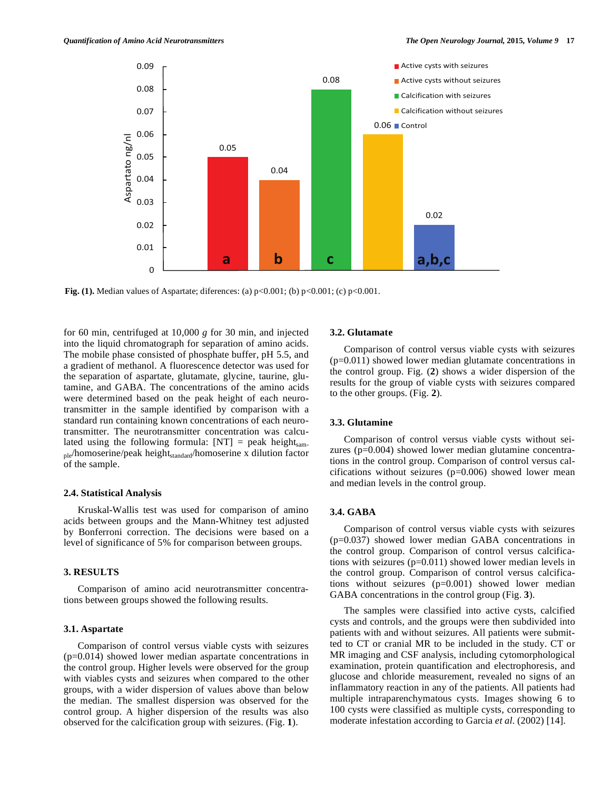

**Fig. (1).** Median values of Aspartate; diferences: (a) p<0.001; (b) p<0.001; (c) p<0.001.

for 60 min, centrifuged at 10,000 *g* for 30 min, and injected into the liquid chromatograph for separation of amino acids. The mobile phase consisted of phosphate buffer, pH 5.5, and a gradient of methanol. A fluorescence detector was used for the separation of aspartate, glutamate, glycine, taurine, glutamine, and GABA. The concentrations of the amino acids were determined based on the peak height of each neurotransmitter in the sample identified by comparison with a standard run containing known concentrations of each neurotransmitter. The neurotransmitter concentration was calculated using the following formula:  $[NT] = peak height_{\text{sam}}$  $_{\text{ple}}$ homoserine/peak height $_{\text{standard}}$ homoserine x dilution factor of the sample.

# **2.4. Statistical Analysis**

 Kruskal-Wallis test was used for comparison of amino acids between groups and the Mann-Whitney test adjusted by Bonferroni correction. The decisions were based on a level of significance of 5% for comparison between groups.

# **3. RESULTS**

 Comparison of amino acid neurotransmitter concentrations between groups showed the following results.

#### **3.1. Aspartate**

 Comparison of control versus viable cysts with seizures (p=0.014) showed lower median aspartate concentrations in the control group. Higher levels were observed for the group with viables cysts and seizures when compared to the other groups, with a wider dispersion of values above than below the median. The smallest dispersion was observed for the control group. A higher dispersion of the results was also observed for the calcification group with seizures. (Fig. **1**).

#### **3.2. Glutamate**

 Comparison of control versus viable cysts with seizures (p=0.011) showed lower median glutamate concentrations in the control group. Fig. (**2**) shows a wider dispersion of the results for the group of viable cysts with seizures compared to the other groups. (Fig. **2**).

# **3.3. Glutamine**

 Comparison of control versus viable cysts without seizures (p=0.004) showed lower median glutamine concentrations in the control group. Comparison of control versus calcifications without seizures  $(p=0.006)$  showed lower mean and median levels in the control group.

# **3.4. GABA**

 Comparison of control versus viable cysts with seizures (p=0.037) showed lower median GABA concentrations in the control group. Comparison of control versus calcifications with seizures (p=0.011) showed lower median levels in the control group. Comparison of control versus calcifications without seizures (p=0.001) showed lower median GABA concentrations in the control group (Fig. **3**).

 The samples were classified into active cysts, calcified cysts and controls, and the groups were then subdivided into patients with and without seizures. All patients were submitted to CT or cranial MR to be included in the study. CT or MR imaging and CSF analysis, including cytomorphological examination, protein quantification and electrophoresis, and glucose and chloride measurement, revealed no signs of an inflammatory reaction in any of the patients. All patients had multiple intraparenchymatous cysts. Images showing 6 to 100 cysts were classified as multiple cysts, corresponding to moderate infestation according to Garcia *et al.* (2002) [14].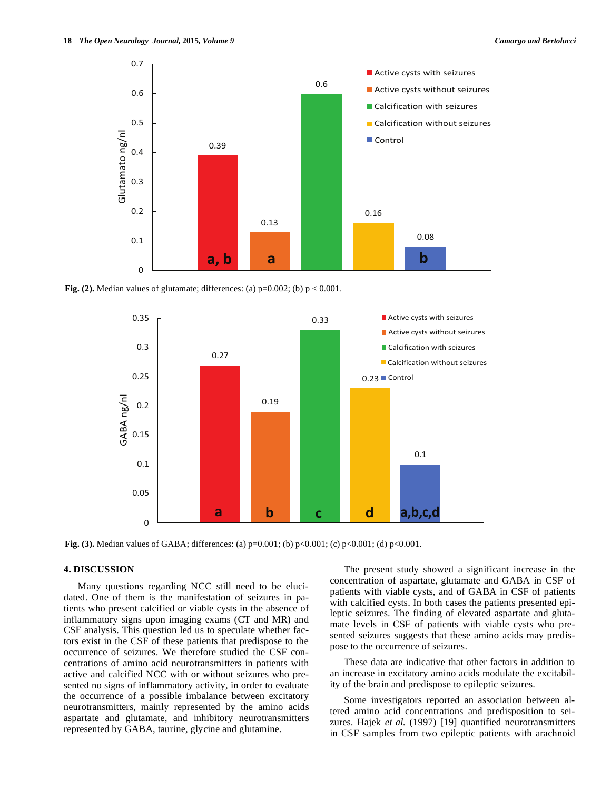

**Fig. (2).** Median values of glutamate; differences: (a)  $p=0.002$ ; (b)  $p < 0.001$ .



**Fig. (3).** Median values of GABA; differences: (a)  $p=0.001$ ; (b)  $p<0.001$ ; (c)  $p<0.001$ ; (d)  $p<0.001$ .

# **4. DISCUSSION**

 Many questions regarding NCC still need to be elucidated. One of them is the manifestation of seizures in patients who present calcified or viable cysts in the absence of inflammatory signs upon imaging exams (CT and MR) and CSF analysis. This question led us to speculate whether factors exist in the CSF of these patients that predispose to the occurrence of seizures. We therefore studied the CSF concentrations of amino acid neurotransmitters in patients with active and calcified NCC with or without seizures who presented no signs of inflammatory activity, in order to evaluate the occurrence of a possible imbalance between excitatory neurotransmitters, mainly represented by the amino acids aspartate and glutamate, and inhibitory neurotransmitters represented by GABA, taurine, glycine and glutamine.

 The present study showed a significant increase in the concentration of aspartate, glutamate and GABA in CSF of patients with viable cysts, and of GABA in CSF of patients with calcified cysts. In both cases the patients presented epileptic seizures. The finding of elevated aspartate and glutamate levels in CSF of patients with viable cysts who presented seizures suggests that these amino acids may predispose to the occurrence of seizures.

 These data are indicative that other factors in addition to an increase in excitatory amino acids modulate the excitability of the brain and predispose to epileptic seizures.

 Some investigators reported an association between altered amino acid concentrations and predisposition to seizures. Hajek *et al.* (1997) [19] quantified neurotransmitters in CSF samples from two epileptic patients with arachnoid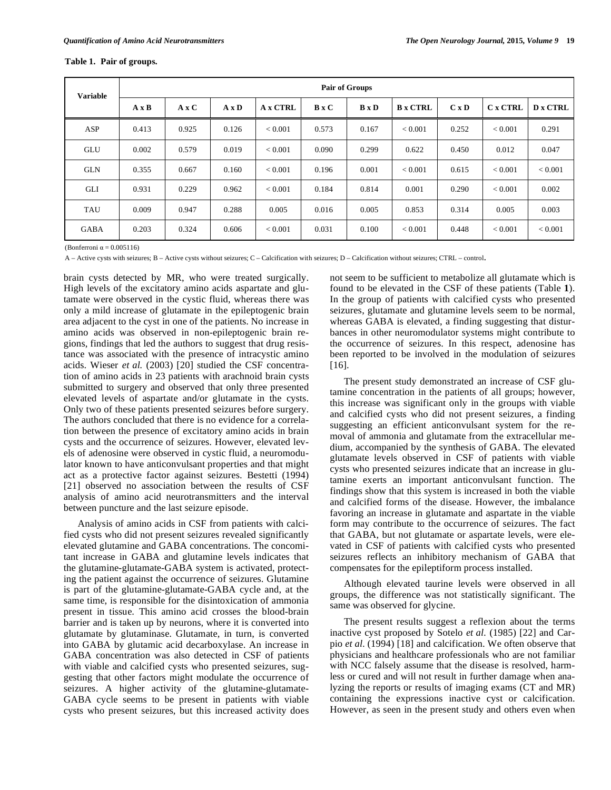## **Table 1. Pair of groups.**

| <b>Variable</b> | Pair of Groups |              |              |                 |              |                     |                 |              |                |                 |
|-----------------|----------------|--------------|--------------|-----------------|--------------|---------------------|-----------------|--------------|----------------|-----------------|
|                 | $A \times B$   | $A \times C$ | $A \times D$ | <b>A x CTRL</b> | <b>B</b> x C | <b>B</b> x <b>D</b> | <b>B</b> x CTRL | $C \times D$ | <b>Cx CTRL</b> | <b>D</b> x CTRL |
| ASP             | 0.413          | 0.925        | 0.126        | < 0.001         | 0.573        | 0.167               | ${}_{< 0.001}$  | 0.252        | ${}_{< 0.001}$ | 0.291           |
| GLU             | 0.002          | 0.579        | 0.019        | < 0.001         | 0.090        | 0.299               | 0.622           | 0.450        | 0.012          | 0.047           |
| <b>GLN</b>      | 0.355          | 0.667        | 0.160        | < 0.001         | 0.196        | 0.001               | < 0.001         | 0.615        | ${}_{< 0.001}$ | ${}_{< 0.001}$  |
| GLI             | 0.931          | 0.229        | 0.962        | ${}< 0.001$     | 0.184        | 0.814               | 0.001           | 0.290        | ${}_{< 0.001}$ | 0.002           |
| <b>TAU</b>      | 0.009          | 0.947        | 0.288        | 0.005           | 0.016        | 0.005               | 0.853           | 0.314        | 0.005          | 0.003           |
| <b>GABA</b>     | 0.203          | 0.324        | 0.606        | < 0.001         | 0.031        | 0.100               | ${}_{< 0.001}$  | 0.448        | ${}_{< 0.001}$ | ${}< 0.001$     |

(Bonferroni  $\alpha = 0.005116$ )

A – Active cysts with seizures; B – Active cysts without seizures; C – Calcification with seizures; D – Calcification without seizures; CTRL – control.

brain cysts detected by MR, who were treated surgically. High levels of the excitatory amino acids aspartate and glutamate were observed in the cystic fluid, whereas there was only a mild increase of glutamate in the epileptogenic brain area adjacent to the cyst in one of the patients. No increase in amino acids was observed in non-epileptogenic brain regions, findings that led the authors to suggest that drug resistance was associated with the presence of intracystic amino acids. Wieser *et al.* (2003) [20] studied the CSF concentration of amino acids in 23 patients with arachnoid brain cysts submitted to surgery and observed that only three presented elevated levels of aspartate and/or glutamate in the cysts. Only two of these patients presented seizures before surgery. The authors concluded that there is no evidence for a correlation between the presence of excitatory amino acids in brain cysts and the occurrence of seizures. However, elevated levels of adenosine were observed in cystic fluid, a neuromodulator known to have anticonvulsant properties and that might act as a protective factor against seizures. Bestetti (1994) [21] observed no association between the results of CSF analysis of amino acid neurotransmitters and the interval between puncture and the last seizure episode.

 Analysis of amino acids in CSF from patients with calcified cysts who did not present seizures revealed significantly elevated glutamine and GABA concentrations. The concomitant increase in GABA and glutamine levels indicates that the glutamine-glutamate-GABA system is activated, protecting the patient against the occurrence of seizures. Glutamine is part of the glutamine-glutamate-GABA cycle and, at the same time, is responsible for the disintoxication of ammonia present in tissue. This amino acid crosses the blood-brain barrier and is taken up by neurons, where it is converted into glutamate by glutaminase. Glutamate, in turn, is converted into GABA by glutamic acid decarboxylase. An increase in GABA concentration was also detected in CSF of patients with viable and calcified cysts who presented seizures, suggesting that other factors might modulate the occurrence of seizures. A higher activity of the glutamine-glutamate-GABA cycle seems to be present in patients with viable cysts who present seizures, but this increased activity does

not seem to be sufficient to metabolize all glutamate which is found to be elevated in the CSF of these patients (Table **1**). In the group of patients with calcified cysts who presented seizures, glutamate and glutamine levels seem to be normal, whereas GABA is elevated, a finding suggesting that disturbances in other neuromodulator systems might contribute to the occurrence of seizures. In this respect, adenosine has been reported to be involved in the modulation of seizures [16].

 The present study demonstrated an increase of CSF glutamine concentration in the patients of all groups; however, this increase was significant only in the groups with viable and calcified cysts who did not present seizures, a finding suggesting an efficient anticonvulsant system for the removal of ammonia and glutamate from the extracellular medium, accompanied by the synthesis of GABA. The elevated glutamate levels observed in CSF of patients with viable cysts who presented seizures indicate that an increase in glutamine exerts an important anticonvulsant function. The findings show that this system is increased in both the viable and calcified forms of the disease. However, the imbalance favoring an increase in glutamate and aspartate in the viable form may contribute to the occurrence of seizures. The fact that GABA, but not glutamate or aspartate levels, were elevated in CSF of patients with calcified cysts who presented seizures reflects an inhibitory mechanism of GABA that compensates for the epileptiform process installed.

 Although elevated taurine levels were observed in all groups, the difference was not statistically significant. The same was observed for glycine.

 The present results suggest a reflexion about the terms inactive cyst proposed by Sotelo *et al.* (1985) [22] and Carpio *et al.* (1994) [18] and calcification. We often observe that physicians and healthcare professionals who are not familiar with NCC falsely assume that the disease is resolved, harmless or cured and will not result in further damage when analyzing the reports or results of imaging exams (CT and MR) containing the expressions inactive cyst or calcification. However, as seen in the present study and others even when